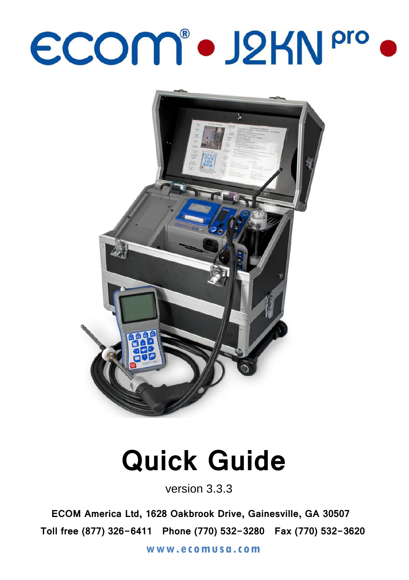## ECOM® · J2KN Pro ·



## **Quick Guide**

version 3.3.3

**ECOM America Ltd, 1628 Oakbrook Drive, Gainesville, GA 30507 Toll free (877) 326-6411 Phone (770) 532-3280 Fax (770) 532-3620**

**[www.ec omusa.com](http://www.ecomusa.com/)**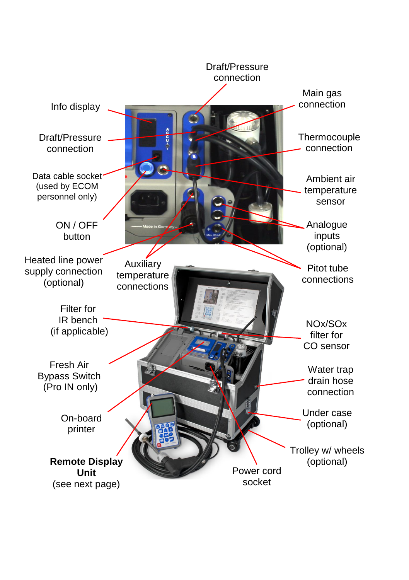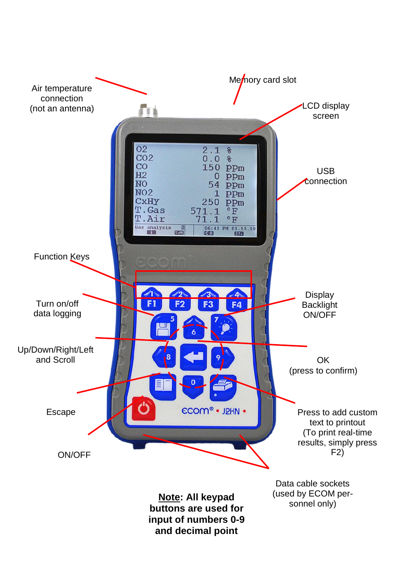